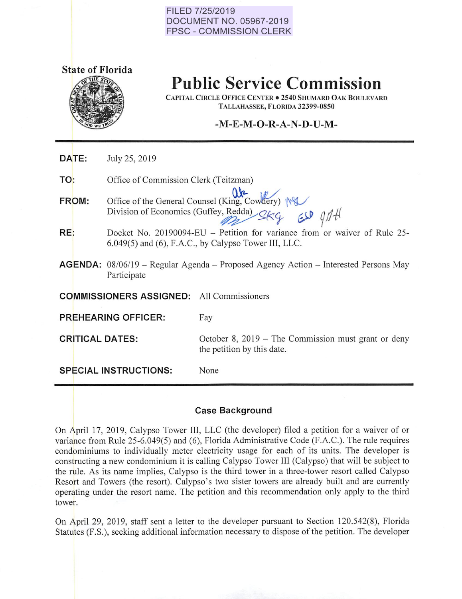#### **FILED 7/25/2019 DOCUMENT NO. 05967-2019 FPSC - COMMISSION CLERK**





**Public Service Commission** 

CAPITAL CIRCLE OFFICE CENTER • 2540 SHUMARD OAK BOULEVARD TALLAHASSEE, FLORIDA 32399-0850

# -M-E-**M -0-R-A-N-D-U-M-**

**DATE:**  July 25, 2019

**TO:**  Office of Commission Clerk (Teitzman)

**FROM:**  Office of the General Counsel (King, Cowdery)  $\sqrt{ }$ <br>Division of Economics (Guffey, Redda)  $2kq$   $\approx 9/4$ 

- **RE:**  Docket No. 20190094-EU - Petition for variance from or waiver of Rule 25-6.049(5) and (6), F.A.C., by Calypso Tower Ill, LLC.
- **AGENDA:** 08/06/19 Regular Agenda Proposed Agency Action Interested Persons May Participate

**COMMISSIONERS ASSIGNED:** All Commissioners

**PREHEARING OFFICER:** Fay

**CRITICAL DATES:** October 8, 2019 – The Commission must grant or deny the petition by this date.

**SPECIAL INSTRUCTIONS:** None

# **Case Background**

On April 17, 20 19, Calypso Tower Ill, LLC (the developer) filed a petition for a waiver of or variance from Rule 25-6.049(5) and (6), Florida Administrative Code (F.A.C.). The rule requires condominiums to individually meter electricity usage for each of its units. The developer is constructing a new condominium it is calling Calypso Tower III (Calypso) that will be subject to the rule. As its name implies, Calypso is the third tower in a three-tower resort called Calypso Resort and Towers (the resort). Calypso's two sister towers are already built and are currently operating under the resort name. The petition and this recommendation only apply to the third tower.

On April 29, 2019, staff sent a letter to the developer pursuant to Section 120.542(8), Florida Statutes (F.S.), seeking additional information necessary to dispose of the petition. The developer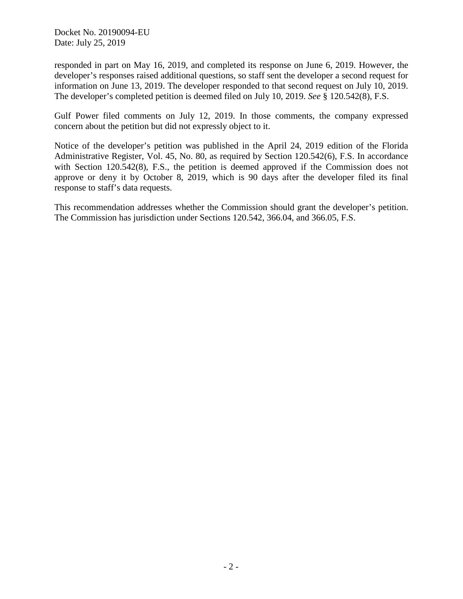Docket No. 20190094-EU Date: July 25, 2019

responded in part on May 16, 2019, and completed its response on June 6, 2019. However, the developer's responses raised additional questions, so staff sent the developer a second request for information on June 13, 2019. The developer responded to that second request on July 10, 2019. The developer's completed petition is deemed filed on July 10, 2019. *See* § 120.542(8), F.S.

Gulf Power filed comments on July 12, 2019. In those comments, the company expressed concern about the petition but did not expressly object to it.

Notice of the developer's petition was published in the April 24, 2019 edition of the Florida Administrative Register, Vol. 45, No. 80, as required by Section 120.542(6), F.S. In accordance with Section 120.542(8), F.S., the petition is deemed approved if the Commission does not approve or deny it by October 8, 2019, which is 90 days after the developer filed its final response to staff's data requests.

This recommendation addresses whether the Commission should grant the developer's petition. The Commission has jurisdiction under Sections 120.542, 366.04, and 366.05, F.S.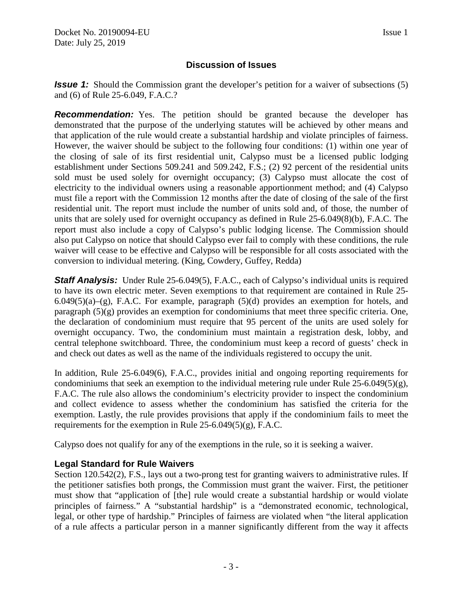# **Discussion of Issues**

*Issue 1:* Should the Commission grant the developer's petition for a waiver of subsections (5) and (6) of Rule 25-6.049, F.A.C.?

**Recommendation:** Yes. The petition should be granted because the developer has demonstrated that the purpose of the underlying statutes will be achieved by other means and that application of the rule would create a substantial hardship and violate principles of fairness. However, the waiver should be subject to the following four conditions: (1) within one year of the closing of sale of its first residential unit, Calypso must be a licensed public lodging establishment under Sections 509.241 and 509.242, F.S.; (2) 92 percent of the residential units sold must be used solely for overnight occupancy; (3) Calypso must allocate the cost of electricity to the individual owners using a reasonable apportionment method; and (4) Calypso must file a report with the Commission 12 months after the date of closing of the sale of the first residential unit. The report must include the number of units sold and, of those, the number of units that are solely used for overnight occupancy as defined in Rule 25-6.049(8)(b), F.A.C. The report must also include a copy of Calypso's public lodging license. The Commission should also put Calypso on notice that should Calypso ever fail to comply with these conditions, the rule waiver will cease to be effective and Calypso will be responsible for all costs associated with the conversion to individual metering. (King, Cowdery, Guffey, Redda)

**Staff Analysis:** Under Rule 25-6.049(5), F.A.C., each of Calypso's individual units is required to have its own electric meter. Seven exemptions to that requirement are contained in Rule 25-  $6.049(5)(a)$ –(g), F.A.C. For example, paragraph  $(5)(d)$  provides an exemption for hotels, and paragraph (5)(g) provides an exemption for condominiums that meet three specific criteria. One, the declaration of condominium must require that 95 percent of the units are used solely for overnight occupancy. Two, the condominium must maintain a registration desk, lobby, and central telephone switchboard. Three, the condominium must keep a record of guests' check in and check out dates as well as the name of the individuals registered to occupy the unit.

In addition, Rule 25-6.049(6), F.A.C., provides initial and ongoing reporting requirements for condominiums that seek an exemption to the individual metering rule under Rule  $25-6.049(5)(g)$ , F.A.C. The rule also allows the condominium's electricity provider to inspect the condominium and collect evidence to assess whether the condominium has satisfied the criteria for the exemption. Lastly, the rule provides provisions that apply if the condominium fails to meet the requirements for the exemption in Rule  $25-6.049(5)(g)$ , F.A.C.

Calypso does not qualify for any of the exemptions in the rule, so it is seeking a waiver.

## **Legal Standard for Rule Waivers**

Section 120.542(2), F.S., lays out a two-prong test for granting waivers to administrative rules. If the petitioner satisfies both prongs, the Commission must grant the waiver. First, the petitioner must show that "application of [the] rule would create a substantial hardship or would violate principles of fairness." A "substantial hardship" is a "demonstrated economic, technological, legal, or other type of hardship." Principles of fairness are violated when "the literal application of a rule affects a particular person in a manner significantly different from the way it affects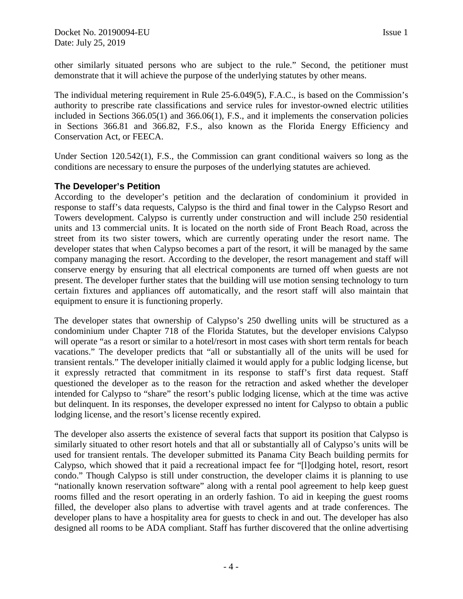other similarly situated persons who are subject to the rule." Second, the petitioner must demonstrate that it will achieve the purpose of the underlying statutes by other means.

The individual metering requirement in Rule 25-6.049(5), F.A.C., is based on the Commission's authority to prescribe rate classifications and service rules for investor-owned electric utilities included in Sections 366.05(1) and 366.06(1), F.S., and it implements the conservation policies in Sections 366.81 and 366.82, F.S., also known as the Florida Energy Efficiency and Conservation Act, or FEECA.

Under Section 120.542(1), F.S., the Commission can grant conditional waivers so long as the conditions are necessary to ensure the purposes of the underlying statutes are achieved.

# **The Developer's Petition**

According to the developer's petition and the declaration of condominium it provided in response to staff's data requests, Calypso is the third and final tower in the Calypso Resort and Towers development. Calypso is currently under construction and will include 250 residential units and 13 commercial units. It is located on the north side of Front Beach Road, across the street from its two sister towers, which are currently operating under the resort name. The developer states that when Calypso becomes a part of the resort, it will be managed by the same company managing the resort. According to the developer, the resort management and staff will conserve energy by ensuring that all electrical components are turned off when guests are not present. The developer further states that the building will use motion sensing technology to turn certain fixtures and appliances off automatically, and the resort staff will also maintain that equipment to ensure it is functioning properly.

The developer states that ownership of Calypso's 250 dwelling units will be structured as a condominium under Chapter 718 of the Florida Statutes, but the developer envisions Calypso will operate "as a resort or similar to a hotel/resort in most cases with short term rentals for beach vacations." The developer predicts that "all or substantially all of the units will be used for transient rentals." The developer initially claimed it would apply for a public lodging license, but it expressly retracted that commitment in its response to staff's first data request. Staff questioned the developer as to the reason for the retraction and asked whether the developer intended for Calypso to "share" the resort's public lodging license, which at the time was active but delinquent. In its responses, the developer expressed no intent for Calypso to obtain a public lodging license, and the resort's license recently expired.

The developer also asserts the existence of several facts that support its position that Calypso is similarly situated to other resort hotels and that all or substantially all of Calypso's units will be used for transient rentals. The developer submitted its Panama City Beach building permits for Calypso, which showed that it paid a recreational impact fee for "[l]odging hotel, resort, resort condo." Though Calypso is still under construction, the developer claims it is planning to use "nationally known reservation software" along with a rental pool agreement to help keep guest rooms filled and the resort operating in an orderly fashion. To aid in keeping the guest rooms filled, the developer also plans to advertise with travel agents and at trade conferences. The developer plans to have a hospitality area for guests to check in and out. The developer has also designed all rooms to be ADA compliant. Staff has further discovered that the online advertising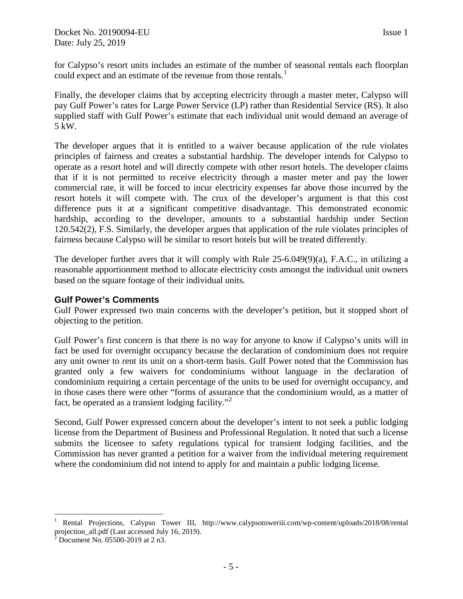for Calypso's resort units includes an estimate of the number of seasonal rentals each floorplan could expect and an estimate of the revenue from those rentals.<sup>[1](#page-4-0)</sup>

Finally, the developer claims that by accepting electricity through a master meter, Calypso will pay Gulf Power's rates for Large Power Service (LP) rather than Residential Service (RS). It also supplied staff with Gulf Power's estimate that each individual unit would demand an average of 5 kW.

The developer argues that it is entitled to a waiver because application of the rule violates principles of fairness and creates a substantial hardship. The developer intends for Calypso to operate as a resort hotel and will directly compete with other resort hotels. The developer claims that if it is not permitted to receive electricity through a master meter and pay the lower commercial rate, it will be forced to incur electricity expenses far above those incurred by the resort hotels it will compete with. The crux of the developer's argument is that this cost difference puts it at a significant competitive disadvantage. This demonstrated economic hardship, according to the developer, amounts to a substantial hardship under Section 120.542(2), F.S. Similarly, the developer argues that application of the rule violates principles of fairness because Calypso will be similar to resort hotels but will be treated differently.

The developer further avers that it will comply with Rule 25-6.049(9)(a), F.A.C., in utilizing a reasonable apportionment method to allocate electricity costs amongst the individual unit owners based on the square footage of their individual units.

## **Gulf Power's Comments**

Gulf Power expressed two main concerns with the developer's petition, but it stopped short of objecting to the petition.

Gulf Power's first concern is that there is no way for anyone to know if Calypso's units will in fact be used for overnight occupancy because the declaration of condominium does not require any unit owner to rent its unit on a short-term basis. Gulf Power noted that the Commission has granted only a few waivers for condominiums without language in the declaration of condominium requiring a certain percentage of the units to be used for overnight occupancy, and in those cases there were other "forms of assurance that the condominium would, as a matter of fact, be operated as a transient lodging facility."<sup>[2](#page-4-1)</sup>

Second, Gulf Power expressed concern about the developer's intent to not seek a public lodging license from the Department of Business and Professional Regulation. It noted that such a license submits the licensee to safety regulations typical for transient lodging facilities, and the Commission has never granted a petition for a waiver from the individual metering requirement where the condominium did not intend to apply for and maintain a public lodging license.

<span id="page-4-0"></span> $\overline{a}$ <sup>1</sup> Rental Projections, Calypso Tower III, http://www.calypsotoweriii.com/wp-content/uploads/2018/08/rental projection\_all.pdf (Last accessed July 16, 2019). <sup>2</sup> Document No. 05500-2019 at 2 n3.

<span id="page-4-1"></span>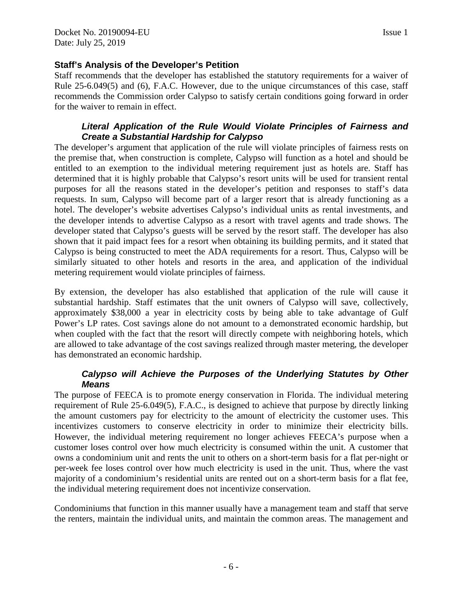# **Staff's Analysis of the Developer's Petition**

Staff recommends that the developer has established the statutory requirements for a waiver of Rule 25-6.049(5) and (6), F.A.C. However, due to the unique circumstances of this case, staff recommends the Commission order Calypso to satisfy certain conditions going forward in order for the waiver to remain in effect.

# *Literal Application of the Rule Would Violate Principles of Fairness and Create a Substantial Hardship for Calypso*

The developer's argument that application of the rule will violate principles of fairness rests on the premise that, when construction is complete, Calypso will function as a hotel and should be entitled to an exemption to the individual metering requirement just as hotels are. Staff has determined that it is highly probable that Calypso's resort units will be used for transient rental purposes for all the reasons stated in the developer's petition and responses to staff's data requests. In sum, Calypso will become part of a larger resort that is already functioning as a hotel. The developer's website advertises Calypso's individual units as rental investments, and the developer intends to advertise Calypso as a resort with travel agents and trade shows. The developer stated that Calypso's guests will be served by the resort staff. The developer has also shown that it paid impact fees for a resort when obtaining its building permits, and it stated that Calypso is being constructed to meet the ADA requirements for a resort. Thus, Calypso will be similarly situated to other hotels and resorts in the area, and application of the individual metering requirement would violate principles of fairness.

By extension, the developer has also established that application of the rule will cause it substantial hardship. Staff estimates that the unit owners of Calypso will save, collectively, approximately \$38,000 a year in electricity costs by being able to take advantage of Gulf Power's LP rates. Cost savings alone do not amount to a demonstrated economic hardship, but when coupled with the fact that the resort will directly compete with neighboring hotels, which are allowed to take advantage of the cost savings realized through master metering, the developer has demonstrated an economic hardship.

# *Calypso will Achieve the Purposes of the Underlying Statutes by Other Means*

The purpose of FEECA is to promote energy conservation in Florida. The individual metering requirement of Rule 25-6.049(5), F.A.C., is designed to achieve that purpose by directly linking the amount customers pay for electricity to the amount of electricity the customer uses. This incentivizes customers to conserve electricity in order to minimize their electricity bills. However, the individual metering requirement no longer achieves FEECA's purpose when a customer loses control over how much electricity is consumed within the unit. A customer that owns a condominium unit and rents the unit to others on a short-term basis for a flat per-night or per-week fee loses control over how much electricity is used in the unit. Thus, where the vast majority of a condominium's residential units are rented out on a short-term basis for a flat fee, the individual metering requirement does not incentivize conservation.

Condominiums that function in this manner usually have a management team and staff that serve the renters, maintain the individual units, and maintain the common areas. The management and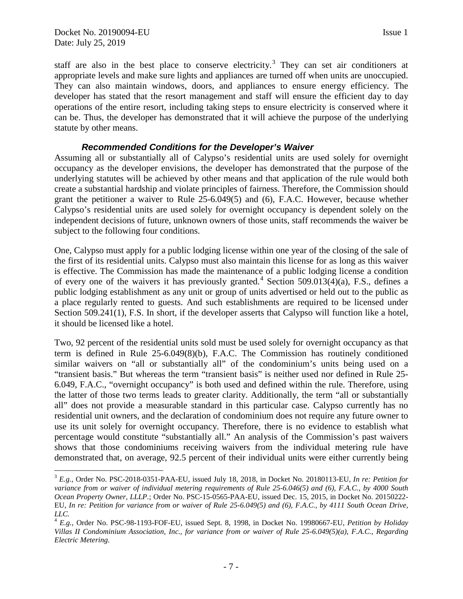$\overline{a}$ 

staff are also in the best place to conserve electricity.<sup>[3](#page-6-0)</sup> They can set air conditioners at appropriate levels and make sure lights and appliances are turned off when units are unoccupied. They can also maintain windows, doors, and appliances to ensure energy efficiency. The developer has stated that the resort management and staff will ensure the efficient day to day operations of the entire resort, including taking steps to ensure electricity is conserved where it can be. Thus, the developer has demonstrated that it will achieve the purpose of the underlying statute by other means.

#### *Recommended Conditions for the Developer's Waiver*

Assuming all or substantially all of Calypso's residential units are used solely for overnight occupancy as the developer envisions, the developer has demonstrated that the purpose of the underlying statutes will be achieved by other means and that application of the rule would both create a substantial hardship and violate principles of fairness. Therefore, the Commission should grant the petitioner a waiver to Rule 25-6.049(5) and (6), F.A.C. However, because whether Calypso's residential units are used solely for overnight occupancy is dependent solely on the independent decisions of future, unknown owners of those units, staff recommends the waiver be subject to the following four conditions.

One, Calypso must apply for a public lodging license within one year of the closing of the sale of the first of its residential units. Calypso must also maintain this license for as long as this waiver is effective. The Commission has made the maintenance of a public lodging license a condition of every one of the waivers it has previously granted.<sup>[4](#page-6-1)</sup> Section 509.013(4)(a), F.S., defines a public lodging establishment as any unit or group of units advertised or held out to the public as a place regularly rented to guests. And such establishments are required to be licensed under Section 509.241(1), F.S. In short, if the developer asserts that Calypso will function like a hotel, it should be licensed like a hotel.

Two, 92 percent of the residential units sold must be used solely for overnight occupancy as that term is defined in Rule 25-6.049(8)(b), F.A.C. The Commission has routinely conditioned similar waivers on "all or substantially all" of the condominium's units being used on a "transient basis." But whereas the term "transient basis" is neither used nor defined in Rule 25- 6.049, F.A.C., "overnight occupancy" is both used and defined within the rule. Therefore, using the latter of those two terms leads to greater clarity. Additionally, the term "all or substantially all" does not provide a measurable standard in this particular case. Calypso currently has no residential unit owners, and the declaration of condominium does not require any future owner to use its unit solely for overnight occupancy. Therefore, there is no evidence to establish what percentage would constitute "substantially all." An analysis of the Commission's past waivers shows that those condominiums receiving waivers from the individual metering rule have demonstrated that, on average, 92.5 percent of their individual units were either currently being

<span id="page-6-0"></span><sup>3</sup> *E.g.*, Order No. PSC-2018-0351-PAA-EU, issued July 18, 2018, in Docket No. 20180113-EU, *In re: Petition for variance from or waiver of individual metering requirements of Rule 25-6.046(5) and (6), F.A.C., by 4000 South Ocean Property Owner, LLLP.*; Order No. PSC-15-0565-PAA-EU, issued Dec. 15, 2015, in Docket No. 20150222- EU, *In re: Petition for variance from or waiver of Rule 25-6.049(5) and (6), F.A.C., by 4111 South Ocean Drive, LLC.*

<span id="page-6-1"></span><sup>4</sup> *E.g.*, Order No. PSC-98-1193-FOF-EU, issued Sept. 8, 1998, in Docket No. 19980667-EU, *Petition by Holiday Villas II Condominium Association, Inc., for variance from or waiver of Rule 25-6.049(5)(a), F.A.C., Regarding Electric Metering.*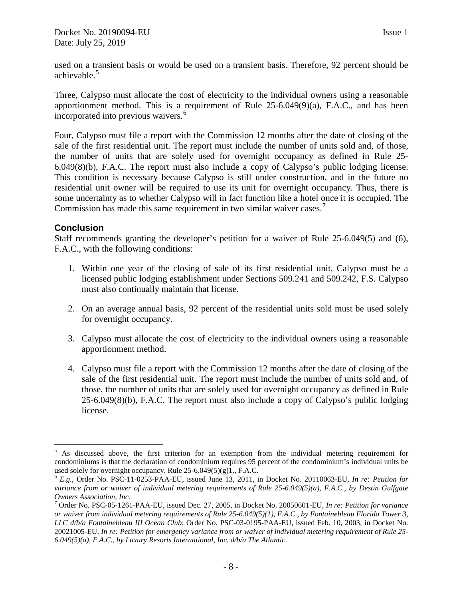used on a transient basis or would be used on a transient basis. Therefore, 92 percent should be achievable. [5](#page-7-0)

Three, Calypso must allocate the cost of electricity to the individual owners using a reasonable apportionment method. This is a requirement of Rule 25-6.049(9)(a), F.A.C., and has been incorporated into previous waivers.<sup>[6](#page-7-1)</sup>

Four, Calypso must file a report with the Commission 12 months after the date of closing of the sale of the first residential unit. The report must include the number of units sold and, of those, the number of units that are solely used for overnight occupancy as defined in Rule 25- 6.049(8)(b), F.A.C. The report must also include a copy of Calypso's public lodging license. This condition is necessary because Calypso is still under construction, and in the future no residential unit owner will be required to use its unit for overnight occupancy. Thus, there is some uncertainty as to whether Calypso will in fact function like a hotel once it is occupied. The Commission has made this same requirement in two similar waiver cases.<sup>[7](#page-7-2)</sup>

## **Conclusion**

Staff recommends granting the developer's petition for a waiver of Rule 25-6.049(5) and (6), F.A.C., with the following conditions:

- 1. Within one year of the closing of sale of its first residential unit, Calypso must be a licensed public lodging establishment under Sections 509.241 and 509.242, F.S. Calypso must also continually maintain that license.
- 2. On an average annual basis, 92 percent of the residential units sold must be used solely for overnight occupancy.
- 3. Calypso must allocate the cost of electricity to the individual owners using a reasonable apportionment method.
- 4. Calypso must file a report with the Commission 12 months after the date of closing of the sale of the first residential unit. The report must include the number of units sold and, of those, the number of units that are solely used for overnight occupancy as defined in Rule 25-6.049(8)(b), F.A.C. The report must also include a copy of Calypso's public lodging license.

<span id="page-7-0"></span> $\overline{a}$  $<sup>5</sup>$  As discussed above, the first criterion for an exemption from the individual metering requirement for</sup> condominiums is that the declaration of condominium requires 95 percent of the condominium's individual units be used solely for overnight occupancy. Rule 25-6.049(5)(g)1., F.A.C.<br><sup>6</sup> *E.g.*, Order No. PSC-11-0253-PAA-EU, issued June 13, 2011, in Docket No. 20110063-EU, *In re: Petition for* 

<span id="page-7-1"></span>*variance from or waiver of individual metering requirements of Rule 25-6.049(5)(a), F.A.C., by Destin Gulfgate Owners Association, Inc.*

<span id="page-7-2"></span><sup>7</sup> Order No. PSC-05-1261-PAA-EU, issued Dec. 27, 2005, in Docket No. 20050601-EU, *In re: Petition for variance or waiver from individual metering requirements of Rule 25-6.049(5)(1), F.A.C., by Fontainebleau Florida Tower 3, LLC d/b/a Fontainebleau III Ocean Club*; Order No. PSC-03-0195-PAA-EU, issued Feb. 10, 2003, in Docket No. 20021005-EU, *In re: Petition for emergency variance from or waiver of individual metering requirement of Rule 25- 6.049(5)(a), F.A.C., by Luxury Resorts International, Inc. d/b/a The Atlantic*.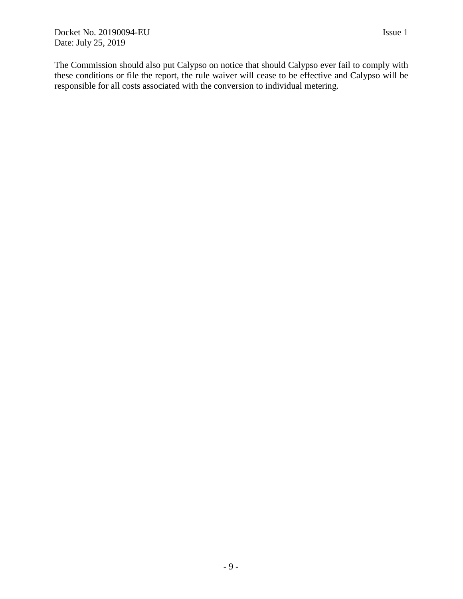The Commission should also put Calypso on notice that should Calypso ever fail to comply with these conditions or file the report, the rule waiver will cease to be effective and Calypso will be responsible for all costs associated with the conversion to individual metering.